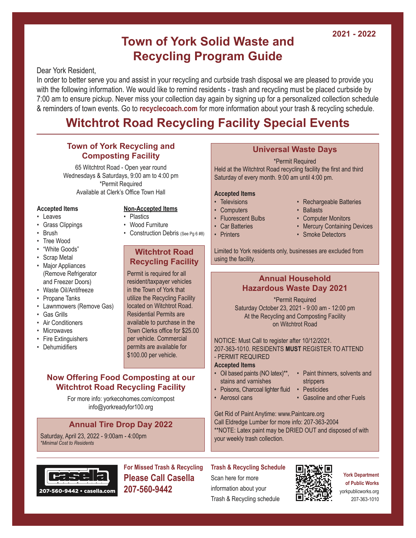#### **2021 - 2022**

## **Town of York Solid Waste and Recycling Program Guide**

Dear York Resident,

In order to better serve you and assist in your recycling and curbside trash disposal we are pleased to provide you with the following information. We would like to remind residents - trash and recycling must be placed curbside by 7:00 am to ensure pickup. Never miss your collection day again by signing up for a personalized collection schedule & reminders of town events. Go to **recyclecoach.com** for more information about your trash & recycling schedule.

# **Witchtrot Road Recycling Facility Special Events**

#### **Town of York Recycling and Composting Facility**

65 Witchtrot Road - Open year round Wednesdays & Saturdays, 9:00 am to 4:00 pm \*Permit Required Available at Clerk's Office Town Hall

#### **Accepted Items**

- Leaves
- Grass Clippings
- Brush
- Tree Wood
- "White Goods"
- Scrap Metal
- Major Appliances (Remove Refrigerator and Freezer Doors)
- Waste Oil/Antifreeze
- Propane Tanks
- Lawnmowers (Remove Gas)
- Gas Grills
- Air Conditioners
- Microwaves
- Fire Extinguishers
- Dehumidifiers

#### **Non-Accepted Items**

- Plastics
- Wood Furniture
- Construction Debris (See Pg 6 #8)

#### **Witchtrot Road Recycling Facility**

Permit is required for all resident/taxpayer vehicles in the Town of York that utilize the Recycling Facility located on Witchtrot Road. Residential Permits are available to purchase in the Town Clerks office for \$25.00 per vehicle. Commercial permits are available for \$100.00 per vehicle.

#### **Now Offering Food Composting at our Witchtrot Road Recycling Facility**

For more info: yorkecohomes.com/compost info@yorkreadyfor100.org

#### **Annual Tire Drop Day 2022**

Saturday, April 23, 2022 - 9:00am - 4:00pm *\*Minimal Cost to Residents*

# 207-560-9442 • casella.com

**For Missed Trash & Recycling Please Call Casella 207-560-9442**

#### **Universal Waste Days**

\*Permit Required Held at the Witchtrot Road recycling facility the first and third Saturday of every month. 9:00 am until 4:00 pm.

#### **Accepted Items**

- Televisions
- Computers
- Fluorescent Bulbs
- Car Batteries
- Printers
- Rechargeable Batteries • Ballasts
- Computer Monitors
- Mercury Containing Devices
- Smoke Detectors

Limited to York residents only, businesses are excluded from using the facility.

#### **Annual Household Hazardous Waste Day 2021**

\*Permit Required Saturday October 23, 2021 - 9:00 am - 12:00 pm At the Recycling and Composting Facility on Witchtrot Road

NOTICE: Must Call to register after 10/12/2021. 207-363-1010. RESIDENTS **MUST** REGISTER TO ATTEND - PERMIT REQUIRED

#### **Accepted Items**

- Oil based paints (NO latex)\*\*, stains and varnishes
- Paint thinners, solvents and strippers
- Poisons, Charcoal lighter fluid • Aerosol cans
- Pesticides
	- Gasoline and other Fuels

Get Rid of Paint Anytime: www.Paintcare.org Call Eldredge Lumber for more info: 207-363-2004 \*\*NOTE: Latex paint may be DRIED OUT and disposed of with your weekly trash collection.

#### **Trash & Recycling Schedule**

Scan here for more information about your Trash & Recycling schedule



#### **York Department of Public Works** yorkpublicworks.org 207-363-1010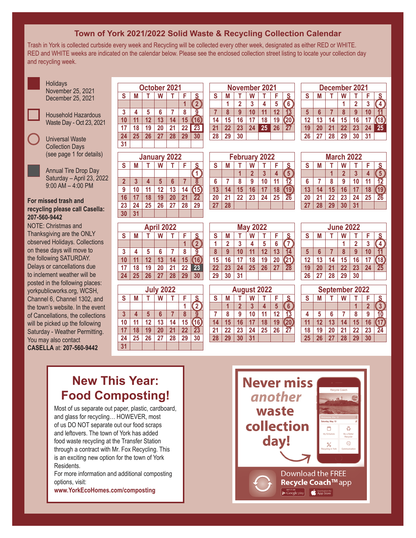#### **Town of York 2021/2022 Solid Waste & Recycling Collection Calendar**

Trash in York is collected curbside every week and Recycling will be collected every other week, designated as either RED or WHITE. RED and WHITE weeks are indicated on the calendar below. Please see the enclosed collection street listing to locate your collection day and recycling week.





Household Hazardous Waste Day - Oct 23, 2021

Universal Waste Collection Days (see page 1 for details)

Annual Tire Drop Day Saturday – April 23, 2022  $9:00$  AM  $-$  4:00 PM

#### **For missed trash and recycling please call Casella: 207-560-9442**

NOTE: Christmas and Thanksgiving are the ONLY observed Holidays. Collections on these days will move to the following SATURDAY. Delays or cancellations due to inclement weather will be posted in the following places: yorkpublicworks.org, WCSH, Channel 6, Channel 1302, and the town's website. In the event of Cancellations, the collections will be picked up the following Saturday - Weather Permitting. You may also contact **CASELLA** at: **207-560-9442**

| October 2021            |                  |    |    |    |    |                |  |  |
|-------------------------|------------------|----|----|----|----|----------------|--|--|
| S                       | S<br>F<br>М<br>W |    |    |    |    |                |  |  |
|                         |                  |    |    |    |    | $\overline{2}$ |  |  |
| $\overline{\mathbf{3}}$ | 4                | 5  | 6  |    | 8  | g              |  |  |
| 10                      | 11               | 12 | 13 | 14 | 15 | 16             |  |  |
| 17                      | 18               | 19 | 20 | 21 | 22 | 23             |  |  |
| 24                      | 25               | 26 | 27 | 28 | 29 | 30             |  |  |
| 31                      |                  |    |    |    |    |                |  |  |
|                         |                  |    |    |    |    |                |  |  |

| <b>January 2022</b> |    |    |                 |    |    |                 |  |  |  |
|---------------------|----|----|-----------------|----|----|-----------------|--|--|--|
| S                   | M  |    | W               |    | F  | S               |  |  |  |
|                     |    |    |                 |    |    |                 |  |  |  |
| $\overline{2}$      | 3  | 4  | $5\phantom{.0}$ | 6  |    | 8               |  |  |  |
| 9                   | 10 | 11 | 12              | 13 | 14 | $\overline{15}$ |  |  |  |
| 16                  | 17 | 18 | 19              | 20 | 21 | $\overline{22}$ |  |  |  |
| 23                  | 24 | 25 | 26              | 27 | 28 | 29              |  |  |  |
| 30                  | 31 |    |                 |    |    |                 |  |  |  |

| April 2022 |    |    |    |    |    |                |  |  |  |
|------------|----|----|----|----|----|----------------|--|--|--|
| S          | M  |    | W  |    | F  | S              |  |  |  |
|            |    |    |    |    |    | $\overline{2}$ |  |  |  |
| 3          | 4  | 5  | 6  |    | 8  | ğ              |  |  |  |
| 10         | 11 | 12 | 13 | 14 | 15 | 16             |  |  |  |
| 17         | 18 | 19 | 20 | 21 | 22 | 23             |  |  |  |
| 24         | 25 | 26 | 27 | 28 | 29 | 30             |  |  |  |
|            |    |    |    |    |    |                |  |  |  |

| <b>July 2022</b> |                                        |    |    |    |    |                 |  |  |  |
|------------------|----------------------------------------|----|----|----|----|-----------------|--|--|--|
| S                | F<br>$\overline{\mathbf{s}}$<br>M<br>W |    |    |    |    |                 |  |  |  |
|                  |                                        |    |    |    |    | $\overline{2}$  |  |  |  |
| $\mathbf{3}$     | 4                                      | 5  | 6  |    | 8  | 9               |  |  |  |
| 10               | 11                                     | 12 | 13 | 14 | 15 | 16              |  |  |  |
| 17               | 18                                     | 19 | 20 | 21 | 22 | $\overline{23}$ |  |  |  |
| 24               | 25                                     | 26 | 27 | 28 | 29 | 30              |  |  |  |
| 31               |                                        |    |    |    |    |                 |  |  |  |

| November 2021 |    |                |    |    |    |    |  |  |
|---------------|----|----------------|----|----|----|----|--|--|
| S             | М  |                | W  |    | F  | S  |  |  |
|               |    | $\overline{2}$ | 3  | 4  | 5  | 6  |  |  |
|               | 8  | 9              | 10 | 11 | 12 | 13 |  |  |
| 14            | 15 | 16             | 17 | 18 | 19 | 20 |  |  |
| 21            | 22 | 23             | 24 | 25 | 26 | 27 |  |  |
| 28            | 29 | 30             |    |    |    |    |  |  |

| December 2021 |                  |    |    |              |    |                      |  |  |
|---------------|------------------|----|----|--------------|----|----------------------|--|--|
| S             | S<br>W<br>M<br>F |    |    |              |    |                      |  |  |
|               |                  |    |    | $\mathbf{2}$ | 3  |                      |  |  |
| 5             | 6                |    | 8  | 9            | 10 | 11                   |  |  |
| 12            | 13               | 14 | 15 | 16           | 17 | $\bf \overline{18})$ |  |  |
| 19            | 20               | 21 | 22 | 23           | 24 | 25                   |  |  |
| 26            | 27               | 28 | 29 | 30           | 31 |                      |  |  |

**March 2022 S M T W T F S**

 **7 8 9 10 11 12 14 15 16 17 18 19 21 22 23 24 25 26 28 29 30 31**

**1 2 3 4 5**

| <b>February 2022</b> |                  |    |                |    |    |                 |  |  |
|----------------------|------------------|----|----------------|----|----|-----------------|--|--|
| S                    | F<br>S<br>W<br>М |    |                |    |    |                 |  |  |
|                      |                  |    | $\overline{2}$ | 3  | 4  | $\overline{5}$  |  |  |
| $6\phantom{1}$       |                  | 8  | 9              | 10 | 11 | $\overline{12}$ |  |  |
| 13                   | 14               | 15 | 16             | 17 | 18 | 19              |  |  |
| 20                   | 21               | 22 | 23             | 24 | 25 | 26              |  |  |
| 27                   | 28               |    |                |    |    |                 |  |  |

| <b>May 2022</b> |    |    |    |    |    |                 |  |  |
|-----------------|----|----|----|----|----|-----------------|--|--|
| S               | М  |    | W  |    | F  | S               |  |  |
|                 | 2  | 3  | 4  | 5  | 6  |                 |  |  |
| 8               | 9  | 10 | 11 | 12 | 13 | 14              |  |  |
| 15              | 16 | 17 | 18 | 19 | 20 | (21)            |  |  |
| 22              | 23 | 24 | 25 | 26 | 27 | $\overline{28}$ |  |  |
| 29              | 30 | 31 |    |    |    |                 |  |  |
|                 |    |    |    |    |    |                 |  |  |

| <b>June 2022</b> |    |    |    |    |    |      |  |  |
|------------------|----|----|----|----|----|------|--|--|
| S                | M  |    | W  | т  | F  | S    |  |  |
|                  |    |    |    | 2  | 3  | 4    |  |  |
| $5\phantom{.0}$  | 6  |    | 8  | 9  | 10 | 11   |  |  |
| 12               | 13 | 14 | 15 | 16 | 17 | (18) |  |  |
| 19               | 20 | 21 | 22 | 23 | 24 | 25   |  |  |
| 26               | 27 | 28 | 29 | 30 |    |      |  |  |
|                  |    |    |    |    |    |      |  |  |
|                  |    |    |    |    |    |      |  |  |

| <b>August 2022</b>      |    |             |    |    |    |    |  |                |
|-------------------------|----|-------------|----|----|----|----|--|----------------|
| $\overline{\mathbf{s}}$ | M  |             | W  |    |    | S  |  |                |
|                         |    | $\mathbf 2$ | 3  |    |    |    |  |                |
|                         | 8  |             | 10 | 11 | 12 | 13 |  |                |
| 14                      | 15 | 16          | 17 | 18 | 19 |    |  |                |
| 21                      | 22 | 23          | 24 | 25 | 26 | 27 |  |                |
| 28                      | 29 | 30          | 31 |    |    |    |  | $\overline{2}$ |
|                         |    |             |    |    |    |    |  |                |

| <b>September 2022</b> |                  |    |    |    |                |    |  |  |
|-----------------------|------------------|----|----|----|----------------|----|--|--|
| S                     | W<br>S<br>F<br>М |    |    |    |                |    |  |  |
|                       |                  |    |    |    | $\overline{2}$ | 3  |  |  |
| 4                     | 5                | 6  |    | 8  | 9              | 10 |  |  |
| 11                    | 12               | 13 | 14 | 15 | 16             |    |  |  |
| 18                    | 19               | 20 | 21 | 22 | 23             | 24 |  |  |
| 25                    | 26               | 27 | 28 | 29 | 30             |    |  |  |
|                       |                  |    |    |    |                |    |  |  |

# **New This Year: Food Composting!**

Most of us separate out paper, plastic, cardboard, and glass for recycling… HOWEVER, most of us DO NOT separate out our food scraps and leftovers. The town of York has added food waste recycling at the Transfer Station through a contract with Mr. Fox Recycling. This is an exciting new option for the town of York Residents.

For more information and additional composting options, visit:

**www.YorkEcoHomes.com/composting**

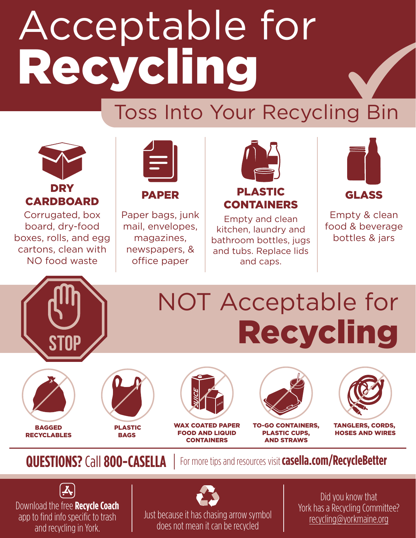# Acceptable for Recycling

# Toss Into Your Recycling Bin



Corrugated, box board, dry-food boxes, rolls, and egg cartons, clean with NO food waste



PAPER

Paper bags, junk mail, envelopes, magazines, newspapers, & office paper



Empty and clean kitchen, laundry and bathroom bottles, jugs and tubs. Replace lids and caps.



Empty & clean food & beverage bottles & jars



# NOT Acceptable for **Recycling**







WAX COATED PAPER FOOD AND LIQUID **CONTAINERS** 



TO-GO CONTAINERS, PLASTIC CUPS, AND STRAWS



TANGLERS, CORDS, HOSES AND WIRES

**QUESTIONS?** Call **800-CASELLA** For more tips and resources visit casella.com/RecycleBetter





Did you know that York has a Recycling Committee? recycling@yorkmaine.org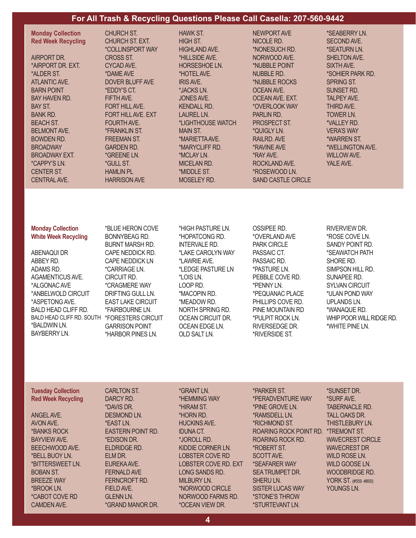#### **For All Trash & Recycling Questions Please Call Casella: 207-560-9442**

| <b>Monday Collection</b><br><b>Red Week Recycling</b><br>AIRPORT DR.<br>*AIRPORT DR. EXT.<br>*ALDER ST.<br><b>ATLANTIC AVE.</b><br><b>BARN POINT</b><br><b>BAY HAVEN RD.</b><br>BAY ST.<br><b>BANK RD.</b><br><b>BEACH ST.</b><br><b>BELMONT AVE.</b><br><b>BOWDEN RD.</b><br><b>BROADWAY</b><br><b>BROADWAY EXT.</b><br><i>*CAPPY'S LN.</i> | CHURCH ST.<br><b>CHURCH ST. EXT.</b><br><i><b>*COLLINSPORT WAY</b></i><br>CROSS ST.<br>CYCAD AVE.<br>*DAME AVE<br><b>DOVER BLUFF AVE</b><br>*EDDY'S CT.<br>FIFTH AVE.<br><b>FORT HILL AVE.</b><br><b>FORT HILL AVE, EXT</b><br><b>FOURTH AVE.</b><br><i><b>*FRANKLIN ST.</b></i><br><b>FREEMAN ST.</b><br><b>GARDEN RD.</b><br>*GREENE LN.<br><i>*GULL ST.</i> | <b>HAWK ST.</b><br><b>HIGH ST.</b><br><b>HIGHLAND AVE.</b><br>*HILLSIDE AVE.<br><b>HORSESHOE LN.</b><br>*HOTEL AVE.<br><b>IRIS AVE.</b><br>*JACKS LN.<br>JONES AVE.<br><b>KENDALL RD.</b><br><b>LAUREL LN.</b><br>*LIGHTHOUSE WATCH<br><b>MAIN ST.</b><br>*MARIETTA AVE.<br>*MARYCLIFF RD.<br>*MCLAY LN.<br>MICELAN RD. | NEWPORT AVE<br>NICOLE RD.<br>*NONESUCH RD.<br>NORWOOD AVE.<br>*NUBBLE POINT<br><b>NUBBLE RD.</b><br>*NUBBLE ROCKS<br>OCEAN AVE.<br>OCEAN AVE, EXT.<br>*OVERLOOK WAY<br>PARLIN RD.<br><b>PROSPECT ST.</b><br>*QUIGLY LN.<br>RAILRD, AVE<br><b><i>*RAVINE AVE</i></b><br>*RAY AVE.<br>ROCKLAND AVE. | *SEABERRY LN.<br><b>SECOND AVE.</b><br>*SEATURN LN.<br>SHELTON AVE.<br>SIXTH AVE.<br>*SOHIER PARK RD.<br><b>SPRING ST.</b><br><b>SUNSET RD.</b><br><b>TALPEY AVE.</b><br>THIRD AVE.<br>TOWER LN.<br>*VALLEY RD.<br><b>VERA'S WAY</b><br>*WARREN ST.<br>*WELLINGTON AVE.<br><b>WILLOW AVE.</b><br>YALE AVE. |
|----------------------------------------------------------------------------------------------------------------------------------------------------------------------------------------------------------------------------------------------------------------------------------------------------------------------------------------------|----------------------------------------------------------------------------------------------------------------------------------------------------------------------------------------------------------------------------------------------------------------------------------------------------------------------------------------------------------------|-------------------------------------------------------------------------------------------------------------------------------------------------------------------------------------------------------------------------------------------------------------------------------------------------------------------------|---------------------------------------------------------------------------------------------------------------------------------------------------------------------------------------------------------------------------------------------------------------------------------------------------|------------------------------------------------------------------------------------------------------------------------------------------------------------------------------------------------------------------------------------------------------------------------------------------------------------|
| <b>CENTER ST.</b><br><b>CENTRAL AVE.</b>                                                                                                                                                                                                                                                                                                     | <b>HAMLIN PL</b><br><b>HARRISON AVE</b>                                                                                                                                                                                                                                                                                                                        | *MIDDLE ST.<br><b>MOSELEY RD.</b>                                                                                                                                                                                                                                                                                       | *ROSEWOOD LN.<br><b>SAND CASTLE CIRCLE</b>                                                                                                                                                                                                                                                        |                                                                                                                                                                                                                                                                                                            |
|                                                                                                                                                                                                                                                                                                                                              |                                                                                                                                                                                                                                                                                                                                                                |                                                                                                                                                                                                                                                                                                                         |                                                                                                                                                                                                                                                                                                   |                                                                                                                                                                                                                                                                                                            |

| <b>Monday Collection</b>    |  |
|-----------------------------|--|
| <b>White Week Recycling</b> |  |

ABENAQUI DR ABBEY RD. ADAMS RD. AGAMENTICUS AVE. \*ALGONAC AVE \*ANBELWOLD CIRCUIT \*ASPETONG AVE. BALD HEAD CLIFF RD. BALD HEAD CLIFF RD. SOUTH \*BALDWIN LN. BAYBERRY LN.

\*BLUE HERON COVE BONNYBEAG RD. BURNT MARSH RD. CAPE NEDDICK RD. CAPE NEDDICK LN \*CARRIAGE LN. CIRCUIT RD. \*CRAGMERE WAY DRIFTING GULL LN. EAST LAKE CIRCUIT \*FAIRBOURNE LN. \*FORESTERS CIRCUIT GARRISON POINT \*HARBOR PINES LN.

\*HIGH PASTURE LN. \*HOPATCONG RD. INTERVALE RD. \*LAKE CAROLYN WAY \*LAWRIE AVE. \*LEDGE PASTURE LN \*LOIS LN. LOOP RD. \*MACOPIN RD. \*MEADOW RD. NORTH SPRING RD. OCEAN CIRCUIT DR. OCEAN EDGE LN. OLD SALT LN.

OSSIPEE RD. \*OVERLAND AVE PARK CIRCLE PASSAIC CT. PASSAIC RD. \*PASTURE LN. PEBBLE COVE RD. \*PENNY LN. \*PEQUANAC PLACE PHILLIPS COVE RD. PINE MOUNTAIN RD \*PULPIT ROCK LN. RIVERSEDGE DR. \*RIVERSIDE ST.

#### RIVERVIEW DR. \*ROSE COVE LN. SANDY POINT RD. \*SEAWATCH PATH SHORE RD. SIMPSON HILL RD. SUNAPEE RD. SYLVAN CIRCUIT \*ULAN POND WAY UPLANDS LN. \*WANAQUE RD. WHIP POOR WILL RIDGE RD. \*WHITE PINE LN.

**Tuesday Collection Red Week Recycling**

ANGEL AVE. AVON AVE. \*BANKS ROCK BAYVIEW AVE. BEECHWOOD AVE. \*BELL BUOY LN. \*BITTERSWEET LN. BOBAN ST. BREEZE WAY \*BROOK LN. \*CABOT COVE RD CAMDEN AVE.

CARLTON ST. DARCY RD. \*DAVIS DR. DESMOND LN. \*EAST LN. EASTERN POINT RD. \*EDISON DR. ELDRIDGE RD. ELM DR. EUREKA AVE. FERNALD AVE FERNCROFT RD. FIELD AVE. GLENN LN. \*GRAND MANOR DR. \*GRANT LN. \*HEMMING WAY \*HIRAM ST. \*HORN RD. HUCKINS AVE. IDUNA CT. \*JOROLL RD. KIDDIE CORNER LN. LOBSTER COVE RD LOBSTER COVE RD. EXT LONG SANDS RD. MILBURY LN. \*NORWOOD CIRCLE NORWOOD FARMS RD. \*OCEAN VIEW DR.

\*PARKER ST. \*PERADVENTURE WAY \*PINE GROVE LN. \*RAMSDELL LN. \*RICHMOND ST. ROARING ROCK POINT RD. ROARING ROCK RD. \*ROBERT ST. SCOTT AVE. \*SEAFARER WAY SEA TRUMPET DR. SHERU LN. SISTER LUCAS WAY \*STONE'S THROW \*STURTEVANT LN.

\*SUNSET DR. \*SURF AVE. TABERNACLE RD. TALL OAKS DR. THISTLEBURY LN. \*TREMONT ST. WAVECREST CIRCLE WAVECREST DR WILD ROSE LN. WILD GOOSE LN. WOODBRIDGE RD. YORK ST. (#559 -#800) YOUNGS LN.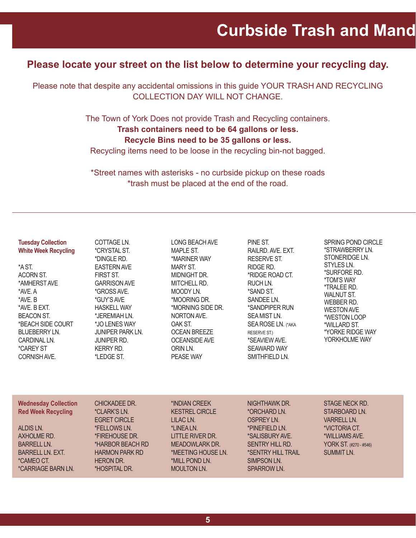### **Please locate your street on the list below to determine your recycling day.**

Please note that despite any accidental omissions in this guide YOUR TRASH AND RECYCLING COLLECTION DAY WILL NOT CHANGE.

> The Town of York Does not provide Trash and Recycling containers. **Trash containers need to be 64 gallons or less.**

#### **Recycle Bins need to be 35 gallons or less.**

Recycling items need to be loose in the recycling bin-not bagged.

\*Street names with asterisks - no curbside pickup on these roads \*trash must be placed at the end of the road.

| <b>Tuesday Collection</b><br><b>White Week Recycling</b><br>*A ST.<br>ACORN ST.<br>*AMHERST AVE<br>*AVE, A<br>*AVE, B<br>*AVE, B EXT.<br><b>BEACON ST.</b><br>*BEACH SIDE COURT<br><b>BLUEBERRY LN.</b><br><b>CARDINAL LN.</b><br><i><b>*CAREY ST</b></i><br><b>CORNISH AVE.</b> | COTTAGE LN.<br><i><b>*CRYSTAL ST.</b></i><br>*DINGLE RD.<br><b>EASTERN AVE</b><br>FIRST ST.<br><b>GARRISON AVE</b><br>*GROSS AVE.<br>*GUY'S AVE<br><b>HASKELL WAY</b><br>*JEREMIAH LN.<br>*JO LENES WAY<br><b>JUNIPER PARK LN.</b><br><b>JUNIPER RD.</b><br><b>KERRY RD.</b><br>*LEDGE ST. | <b>LONG BEACH AVE</b><br><b>MAPLE ST.</b><br>*MARINER WAY<br><b>MARY ST.</b><br>MIDNIGHT DR.<br>MITCHELL RD.<br>MOODY LN.<br>*MOORING DR.<br>*MORNING SIDE DR.<br>NORTON AVE.<br>OAK ST.<br><b>OCEAN BREEZE</b><br><b>OCEANSIDE AVE</b><br>ORIN LN.<br><b>PEASE WAY</b> | PINE ST.<br>RAILRD, AVE, EXT.<br>RESERVE ST.<br>RIDGE RD.<br>*RIDGE ROAD CT.<br>RUCH LN.<br>*SAND ST.<br>SANDEE LN.<br>*SANDPIPER RUN<br>SEA MIST LN.<br>SEA ROSE LN. (*AKA<br><b>RESERVE ST.)</b><br>*SEAVIEW AVE.<br><b>SEAWARD WAY</b><br><b>SMITHFIELD LN.</b> | <b>SPRING POND CIRCLE</b><br>*STRAWBERRY LN.<br>STONERIDGE LN.<br>STYLES LN.<br>*SURFORE RD.<br><i><b>*TOM'S WAY</b></i><br><i><b>*TRALEE RD.</b></i><br><b>WALNUT ST.</b><br>WEBBER RD.<br><b>WESTON AVE</b><br>*WESTON LOOP<br>*WILLARD ST.<br>*YORKE RIDGE WAY<br>YORKHOLME WAY |
|----------------------------------------------------------------------------------------------------------------------------------------------------------------------------------------------------------------------------------------------------------------------------------|--------------------------------------------------------------------------------------------------------------------------------------------------------------------------------------------------------------------------------------------------------------------------------------------|-------------------------------------------------------------------------------------------------------------------------------------------------------------------------------------------------------------------------------------------------------------------------|--------------------------------------------------------------------------------------------------------------------------------------------------------------------------------------------------------------------------------------------------------------------|------------------------------------------------------------------------------------------------------------------------------------------------------------------------------------------------------------------------------------------------------------------------------------|
| <b>Wednesday Collection</b><br><b>Red Week Recycling</b><br>ALDIS LN.<br>AXHOLME RD.<br>BARRELL LN.<br>BARRELL LN. EXT.<br><i>*CAMEO CT.</i><br><i><b>*CARRIAGE BARN LN.</b></i>                                                                                                 | CHICKADEE DR.<br><i>*CLARK'S LN.</i><br><b>EGRET CIRCLE</b><br>*FELLOWS LN.<br>*FIREHOUSE DR.<br>*HARBOR BEACH RD<br><b>HARMON PARK RD</b><br><b>HERON DR.</b><br>*HOSPITAL DR.                                                                                                            | *INDIAN CREEK<br><b>KESTREL CIRCLE</b><br>LILAC <sub>LN</sub> .<br>*LINEA LN.<br>LITTLE RIVER DR.<br><b>MEADOWLARK DR.</b><br>*MEETING HOUSE LN.<br>*MILL POND LN.<br><b>MOULTON LN.</b>                                                                                | NIGHTHAWK DR.<br>*ORCHARD LN.<br><b>OSPREY LN.</b><br>*PINEFIELD LN.<br>*SALISBURY AVE.<br><b>SENTRY HILL RD.</b><br>*SENTRY HILL TRAIL<br>SIMPSON LN.<br><b>SPARROW LN.</b>                                                                                       | STAGE NECK RD.<br>STARBOARD LN.<br><b>VARRELL LN.</b><br>*VICTORIA CT.<br>*WILLIAMS AVE.<br>YORK ST. (#270 - #546)<br><b>SUMMIT LN.</b>                                                                                                                                            |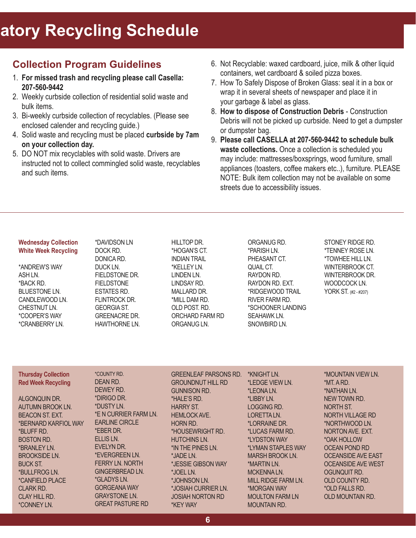# **atory Recycling Schedule**

### **Collection Program Guidelines**

- 1. **For missed trash and recycling please call Casella: 207-560-9442**
- 2. Weekly curbside collection of residential solid waste and bulk items.
- 3. Bi-weekly curbside collection of recyclables. (Please see enclosed calender and recycling guide.)
- 4. Solid waste and recycling must be placed **curbside by 7am on your collection day.**
- 5. DO NOT mix recyclables with solid waste. Drivers are instructed not to collect commingled solid waste, recyclables and such items.
- 6. Not Recyclable: waxed cardboard, juice, milk & other liquid containers, wet cardboard & soiled pizza boxes.
- 7. How To Safely Dispose of Broken Glass: seal it in a box or wrap it in several sheets of newspaper and place it in your garbage & label as glass.
- 8. **How to dispose of Construction Debris** Construction Debris will not be picked up curbside. Need to get a dumpster or dumpster bag.
- 9. **Please call CASELLA at 207-560-9442 to schedule bulk waste collections.** Once a collection is scheduled you may include: mattresses/boxsprings, wood furniture, small appliances (toasters, coffee makers etc..), furniture. PLEASE NOTE: Bulk item collection may not be available on some streets due to accessibility issues.

#### **Wednesday Collection White Week Recycling**

\*ANDREW'S WAY ASH LN. \*BACK RD. BLUESTONE LN. CANDLEWOOD LN. CHESTNUT LN. \*COOPER'S WAY \*CRANBERRY LN.

DOCK RD. DONICA RD. DUCK LN. FIELDSTONE DR. FIELDSTONE ESTATES RD. FLINTROCK DR. GEORGIA ST. GREENACRE DR. HAWTHORNE LN.

\*DAVIDSON LN

\*HOGAN'S CT. INDIAN TRAIL \*KELLEY LN. LINDEN LN. LINDSAY RD. MALLARD DR. \*MILL DAM RD. OLD POST. RD. ORCHARD FARM RD ORGANUG LN.

HILLTOP DR.

ORGANUG RD. \*PARISH LN. PHEASANT CT. QUAIL CT. RAYDON RD. RAYDON RD. EXT. \*RIDGEWOOD TRAIL RIVER FARM RD. \*SCHOONER LANDING SEAHAWK LN. SNOWBIRD LN.

STONEY RIDGE RD. \*TENNEY ROSE LN. \*TOWHEE HILL LN. WINTERBROOK CT. WINTERBROOK DR. WOODCOCK LN. YORK ST. (#2 - #207)

| <b>Thursday Collection</b>    | <i><b>*COUNTY RD.</b></i> | <b>GREENLEAF PARSONS RD.</b> | <b>*KNIGHT LN.</b>         | *MOUNTAIN VIEW LN.        |
|-------------------------------|---------------------------|------------------------------|----------------------------|---------------------------|
| <b>Red Week Recycling</b>     | DEAN RD.                  | <b>GROUNDNUT HILL RD</b>     | *LEDGE VIEW LN.            | *MT. A RD.                |
|                               | DEWEY RD.                 | <b>GUNNISON RD.</b>          | <i><b>*LEONALN.</b></i>    | *NATHAN LN.               |
| ALGONQUIN DR.                 | *DIRIGO DR.               | *HALE'S RD.                  | *LIBBY LN.                 | NEW TOWN RD.              |
| <b>AUTUMN BROOK LN.</b>       | *DUSTY LN.                | <b>HARRY ST.</b>             | <b>LOGGING RD.</b>         | NORTH ST.                 |
| <b>BEACON ST. EXT.</b>        | *E N CURRIER FARM LN.     | <b>HEMLOCK AVE.</b>          | LORETTA LN.                | NORTH VILLAGE RD          |
| *BERNARD KARFIOL WAY          | <b>EARLINE CIRCLE</b>     | <b>HORN RD.</b>              | *LORRAINE DR.              | *NORTHWOOD LN.            |
| *BLUFF RD.                    | *EBER DR.                 | *HOUSEWRIGHT RD.             | *LUCAS FARM RD.            | NORTON AVE, EXT.          |
| <b>BOSTON RD.</b>             | ELLIS LN.                 | <b>HUTCHINS LN.</b>          | <i><b>*LYDSTON WAY</b></i> | *OAK HOLLOW               |
| *BRANLEY LN.                  | EVELYN DR.                | *IN THE PINES LN.            | *LYMAN STAPLES WAY         | <b>OCEAN POND RD</b>      |
| <b>BROOKSIDE LN.</b>          | *EVERGREEN LN.            | *JADE LN.                    | <b>MARSH BROOK LN.</b>     | <b>OCEANSIDE AVE EAST</b> |
| <b>BUCK ST.</b>               | <b>FERRY LN. NORTH</b>    | *JESSIE GIBSON WAY           | *MARTIN LN.                | <b>OCEANSIDE AVE WEST</b> |
| *BULLFROG LN.                 | GINGERBREAD LN.           | *JOEL LN.                    | MCKENNALN.                 | OGUNQUIT RD.              |
| <i><b>*CANFIELD PLACE</b></i> | <i>*</i> GLADYS LN.       | *JOHNSON LN.                 | MILL RIDGE FARM LN.        | OLD COUNTY RD.            |
| <b>CLARK RD.</b>              | <b>GORGEANA WAY</b>       | *JOSIAH CURRIER LN.          | *MORGAN WAY                | *OLD FALLS RD.            |
| <b>CLAY HILL RD.</b>          | <b>GRAYSTONE LN.</b>      | <b>JOSIAH NORTON RD</b>      | <b>MOULTON FARM LN</b>     | OLD MOUNTAIN RD.          |
| <i>*CONNEY LN.</i>            | <b>GREAT PASTURE RD</b>   | *KEY WAY                     | <b>MOUNTAIN RD.</b>        |                           |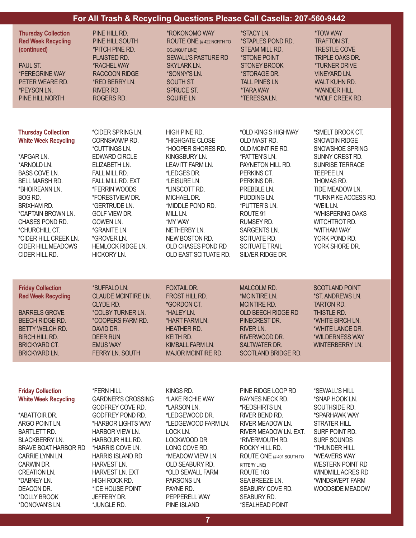| For All Trash & Recycling Questions Please Call Casella: 207-560-9442                                                                                                                                                                                                                                                  |                                                                                                                                                                                                                                                                                                                                           |                                                                                                                                                                                                                                                                                        |                                                                                                                                                                                                                                                                                   |                                                                                                                                                                                                                                                                               |  |
|------------------------------------------------------------------------------------------------------------------------------------------------------------------------------------------------------------------------------------------------------------------------------------------------------------------------|-------------------------------------------------------------------------------------------------------------------------------------------------------------------------------------------------------------------------------------------------------------------------------------------------------------------------------------------|----------------------------------------------------------------------------------------------------------------------------------------------------------------------------------------------------------------------------------------------------------------------------------------|-----------------------------------------------------------------------------------------------------------------------------------------------------------------------------------------------------------------------------------------------------------------------------------|-------------------------------------------------------------------------------------------------------------------------------------------------------------------------------------------------------------------------------------------------------------------------------|--|
| <b>Thursday Collection</b><br><b>Red Week Recycling</b><br>(continued)<br>PAUL ST.<br><i><b>*PEREGRINE WAY</b></i><br>PETER WEARE RD.<br>*PEYSON LN.<br>PINE HILL NORTH                                                                                                                                                | PINE HILL RD.<br>PINE HILL SOUTH<br>*PITCH PINE RD.<br>PLAISTED RD.<br><b>*RACHEL WAY</b><br><b>RACCOON RIDGE</b><br>*RED BERRY LN.<br>RIVER RD.<br>ROGERS RD.                                                                                                                                                                            | *ROKONOMO WAY<br>ROUTE ONE (#422 NORTH TO<br><b>OGUNQUIT LINE)</b><br><b>SEWALL'S PASTURE RD</b><br><b>SKYLARK LN.</b><br>*SONNY'S LN.<br>SOUTH ST.<br>SPRUCE ST.<br><b>SQUIRE LN</b>                                                                                                  | *STACY LN.<br>*STAPLES POND RD.<br>STEAM MILL RD.<br>*STONE POINT<br><b>STONEY BROOK</b><br>*STORAGE DR.<br><b>TALL PINES LN</b><br><b><i>*TARAWAY</i></b><br><i><b>*TERESSALN.</b></i>                                                                                           | <b><i>*TOW WAY</i></b><br><b>TRAFTON ST.</b><br><b>TRESTLE COVE</b><br>TRIPLE OAKS DR.<br><i><b>*TURNER DRIVE</b></i><br><b>VINEYARD LN.</b><br>WALT KUHN RD.<br>*WANDER HILL<br>*WOLF CREEK RD.                                                                              |  |
| <b>Thursday Collection</b><br><b>White Week Recycling</b><br>*APGAR LN.<br>*ARNOLD LN.<br>BASS COVE LN.<br><b>BELL MARSH RD.</b><br>*BHOIREANN LN.<br>BOG RD.<br><b>BRIXHAM RD.</b><br>*CAPTAIN BROWN LN.<br>CHASES POND RD.<br>*CHURCHILL CT.<br>*CIDER HILL CREEK LN.<br><b>CIDER HILL MEADOWS</b><br>CIDER HILL RD. | *CIDER SPRING LN.<br>CORNSWAMP RD.<br><i>*CUTTINGS LN.</i><br><b>EDWARD CIRCLE</b><br>ELIZABETH LN.<br>FALL MILL RD.<br>FALL MILL RD. EXT<br>*FERRIN WOODS<br><i><b>*FORESTVIEW DR.</b></i><br>*GERTRUDE LN.<br><b>GOLF VIEW DR.</b><br>GOWEN LN.<br>*GRANITE LN.<br><i><b>*GROVER LN.</b></i><br><b>HEMLOCK RIDGE LN.</b><br>HICKORY LN. | HIGH PINE RD.<br>*HIGHGATE CLOSE<br>*HOOPER SHORES RD.<br>KINGSBURY LN.<br>LEAVITT FARM LN.<br>*LEDGES DR.<br>*LEISURE LN.<br>*LINSCOTT RD.<br>MICHAEL DR.<br>*MIDDLE POND RD.<br>MILL LN.<br>*MY WAY<br>NETHERBY LN.<br>NEW BOSTON RD.<br>OLD CHASES POND RD<br>OLD EAST SCITUATE RD. | *OLD KING'S HIGHWAY<br>OLD MAST RD.<br>OLD MCINTIRE RD.<br>*PATTEN'S LN.<br>PAYNETON HILL RD.<br>PERKINS CT.<br>PERKINS DR.<br>PREBBLE LN.<br>PUDDING LN.<br>*PUTTER'S LN.<br>ROUTE 91<br>RUMSEY RD.<br>SARGENTS LN.<br>SCITUATE RD.<br><b>SCITUATE TRAIL</b><br>SILVER RIDGE DR. | *SMELT BROOK CT.<br>SNOWDIN RIDGE<br>SNOWSHOE SPRING<br>SUNNY CREST RD.<br><b>SUNRISE TERRACE</b><br>TEEPEE LN.<br>THOMAS RD.<br>TIDE MEADOW LN.<br>*TURNPIKE ACCESS RD.<br>*WEIL LN.<br>*WHISPERING OAKS<br>WITCHTROT RD.<br>*WITHAM WAY<br>YORK POND RD.<br>YORK SHORE DR.  |  |
| <b>Friday Collection</b><br><b>Red Week Recycling</b><br><b>BARRELS GROVE</b><br><b>BEECH RIDGE RD.</b><br><b>BETTY WELCH RD.</b><br><b>BIRCH HILL RD.</b><br><b>BRICKYARD CT.</b><br><b>BRICKYARD LN.</b>                                                                                                             | *BUFFALO LN.<br><b>CLAUDE MCINTIRE LN.</b><br>CLYDE RD.<br><i><b>*COLBY TURNER LN.</b></i><br>*COOPERS FARM RD.<br>DAVID DR.<br><b>DEER RUN</b><br><b>EMUS WAY</b><br>FERRY LN. SOUTH                                                                                                                                                     | <b>FOXTAIL DR.</b><br>FROST HILL RD.<br>*GORDON CT.<br>*HALEY LN.<br>*HART FARM LN.<br><b>HEATHER RD.</b><br>KEITH RD.<br>KIMBALL FARM LN.<br>MAJOR MCINTIRE RD.                                                                                                                       | MALCOLM RD.<br>*MCINTIRE LN.<br><b>MCINTIRE RD.</b><br>OLD BEECH RIDGE RD<br>PINECREST DR.<br>RIVER LN.<br>RIVERWOOD DR.<br><b>SALTWATER DR.</b><br>SCOTLAND BRIDGE RD.                                                                                                           | <b>SCOTLAND POINT</b><br>*ST. ANDREWS LN.<br>TARTON RD.<br>THISTLE RD.<br>*WHITE BIRCH LN.<br>*WHITE LANCE DR.<br>*WILDERNESS WAY<br><b>WINTERBERRY LN.</b>                                                                                                                   |  |
| <b>Friday Collection</b><br><b>White Week Recycling</b><br>*ABATTOIR DR.<br>ARGO POINT LN.<br><b>BARTLETT RD.</b><br><b>BLACKBERRY LN.</b><br><b>BRAVE BOAT HARBOR RD</b><br>CARRIE LYNN LN.<br>CARWIN DR.<br><b>CREATION LN.</b><br>*DABNEY LN.<br>DEACON DR.<br>*DOLLY BROOK                                         | *FERN HILL<br><b>GARDNER'S CROSSING</b><br>GODFREY COVE RD.<br>GODFREY POND RD.<br>*HARBOR LIGHTS WAY<br>HARBOR VIEW LN.<br>HARBOUR HILL RD.<br>*HARRIS COVE LN.<br><b>HARRIS ISLAND RD</b><br>HARVEST LN.<br><b>HARVEST LN. EXT</b><br>HIGH ROCK RD.<br>*ICE HOUSE POINT<br>JEFFERY DR.                                                  | KINGS RD.<br>*LAKE RICHIE WAY<br>*LARSON LN.<br>*LEDGEWOOD DR.<br>*LEDGEWOOD FARM LN.<br>LOCK LN.<br>LOCKWOOD DR<br>LONG COVE RD.<br>*MEADOW VIEW LN.<br>OLD SEABURY RD.<br>*OLD SEWALL FARM<br>PARSONS LN.<br>PAYNE RD.<br>PEPPERELL WAY                                              | PINE RIDGE LOOP RD<br>RAYNES NECK RD.<br>*REDSHIRTS LN.<br>RIVER BEND RD.<br>RIVER MEADOW LN.<br>RIVER MEADOW LN. EXT.<br>*RIVERMOUTH RD.<br>ROCKY HILL RD.<br>ROUTE ONE (#401 SOUTH TO<br>KITTERY LINE)<br>ROUTE 103<br>SEA BREEZE LN.<br>SEABURY COVE RD.<br>SEABURY RD.        | *SEWALL'S HILL<br>*SNAP HOOK LN.<br>SOUTHSIDE RD.<br>*SPARHAWK WAY<br><b>STRATER HILL</b><br>SURF POINT RD.<br><b>SURF SOUNDS</b><br><i><b>*THUNDER HILL</b></i><br>*WEAVERS WAY<br><b>WESTERN POINT RD</b><br><b>WINDMILL ACRES RD</b><br>*WINDSWEPT FARM<br>WOODSIDE MEADOW |  |

\*SEALHEAD POINT

PINE ISLAND

\*DONOVAN'S LN.

\*JUNGLE RD.